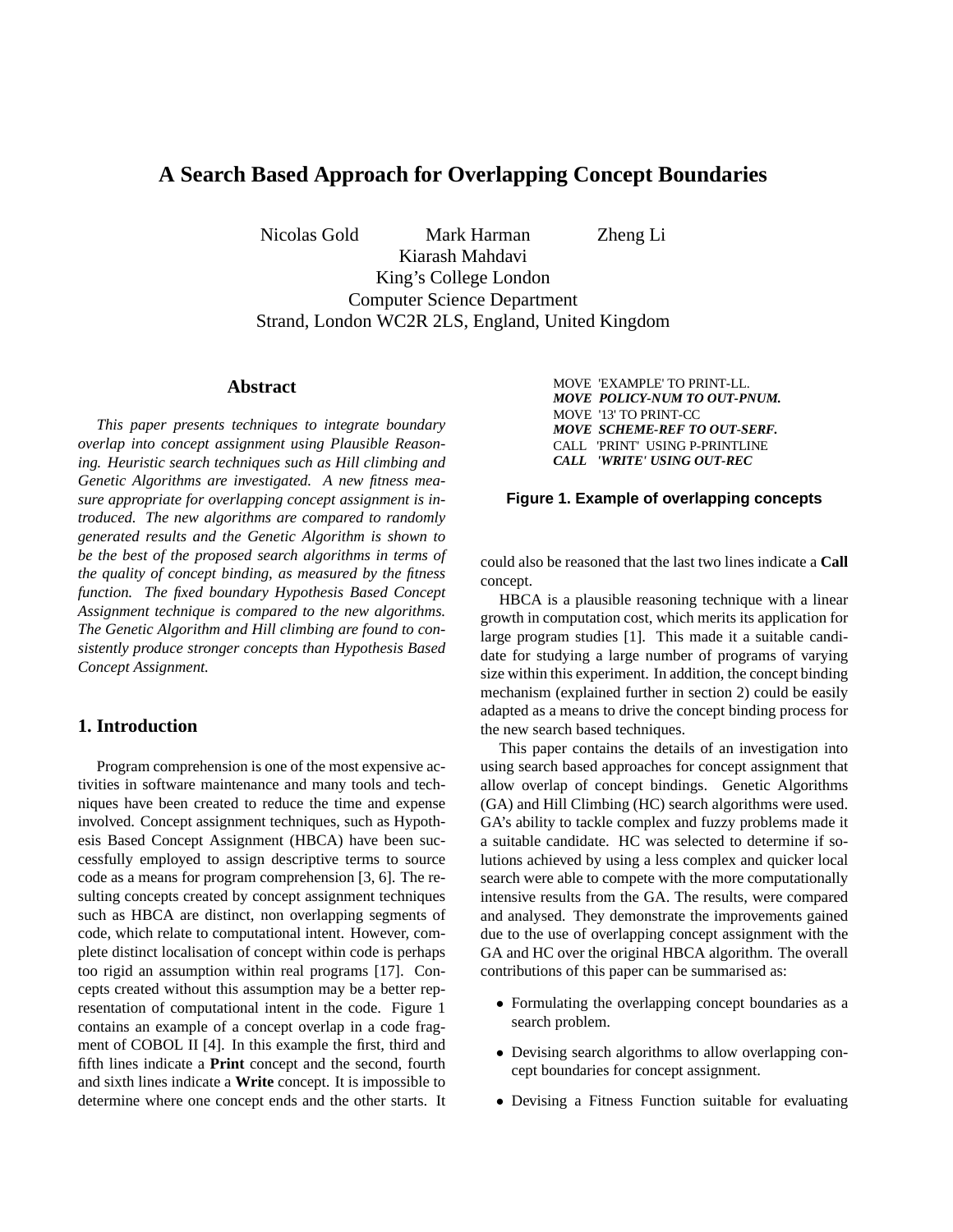# **A Search Based Approach for Overlapping Concept Boundaries**

Nicolas Gold Mark Harman Zheng Li

Kiarash Mahdavi King's College London Computer Science Department Strand, London WC2R 2LS, England, United Kingdom

## **Abstract**

*This paper presents techniques to integrate boundary overlap into concept assignment using Plausible Reasoning. Heuristic search techniques such as Hill climbing and Genetic Algorithms are investigated. A new fitness measure appropriate for overlapping concept assignment is introduced. The new algorithms are compared to randomly generated results and the Genetic Algorithm is shown to be the best of the proposed search algorithms in terms of the quality of concept binding, as measured by the fitness function. The fixed boundary Hypothesis Based Concept Assignment technique is compared to the new algorithms. The Genetic Algorithm and Hill climbing are found to consistently produce stronger concepts than Hypothesis Based Concept Assignment.*

## **1. Introduction**

Program comprehension is one of the most expensive activities in software maintenance and many tools and techniques have been created to reduce the time and expense involved. Concept assignment techniques, such as Hypothesis Based Concept Assignment (HBCA) have been successfully employed to assign descriptive terms to source code as a means for program comprehension [3, 6]. The resulting concepts created by concept assignment techniques such as HBCA are distinct, non overlapping segments of code, which relate to computational intent. However, complete distinct localisation of concept within code is perhaps too rigid an assumption within real programs [17]. Concepts created without this assumption may be a better representation of computational intent in the code. Figure 1 contains an example of a concept overlap in a code fragment of COBOL II [4]. In this example the first, third and fifth lines indicate a **Print** concept and the second, fourth and sixth lines indicate a **Write** concept. It is impossible to determine where one concept ends and the other starts. It MOVE 'EXAMPLE' TO PRINT-LL. *MOVE POLICY-NUM TO OUT-PNUM.* MOVE '13' TO PRINT-CC *MOVE SCHEME-REF TO OUT-SERF.* CALL 'PRINT' USING P-PRINTLINE *CALL 'WRITE' USING OUT-REC*

#### **Figure 1. Example of overlapping concepts**

could also be reasoned that the last two lines indicate a **Call** concept.

HBCA is a plausible reasoning technique with a linear growth in computation cost, which merits its application for large program studies [1]. This made it a suitable candidate for studying a large number of programs of varying size within this experiment. In addition, the concept binding mechanism (explained further in section 2) could be easily adapted as a means to drive the concept binding process for the new search based techniques.

This paper contains the details of an investigation into using search based approaches for concept assignment that allow overlap of concept bindings. Genetic Algorithms (GA) and Hill Climbing (HC) search algorithms were used. GA's ability to tackle complex and fuzzy problems made it a suitable candidate. HC was selected to determine if solutions achieved by using a less complex and quicker local search were able to compete with the more computationally intensive results from the GA. The results, were compared and analysed. They demonstrate the improvements gained due to the use of overlapping concept assignment with the GA and HC over the original HBCA algorithm. The overall contributions of this paper can be summarised as:

- Formulating the overlapping concept boundaries as a search problem.
- Devising search algorithms to allow overlapping concept boundaries for concept assignment.
- Devising a Fitness Function suitable for evaluating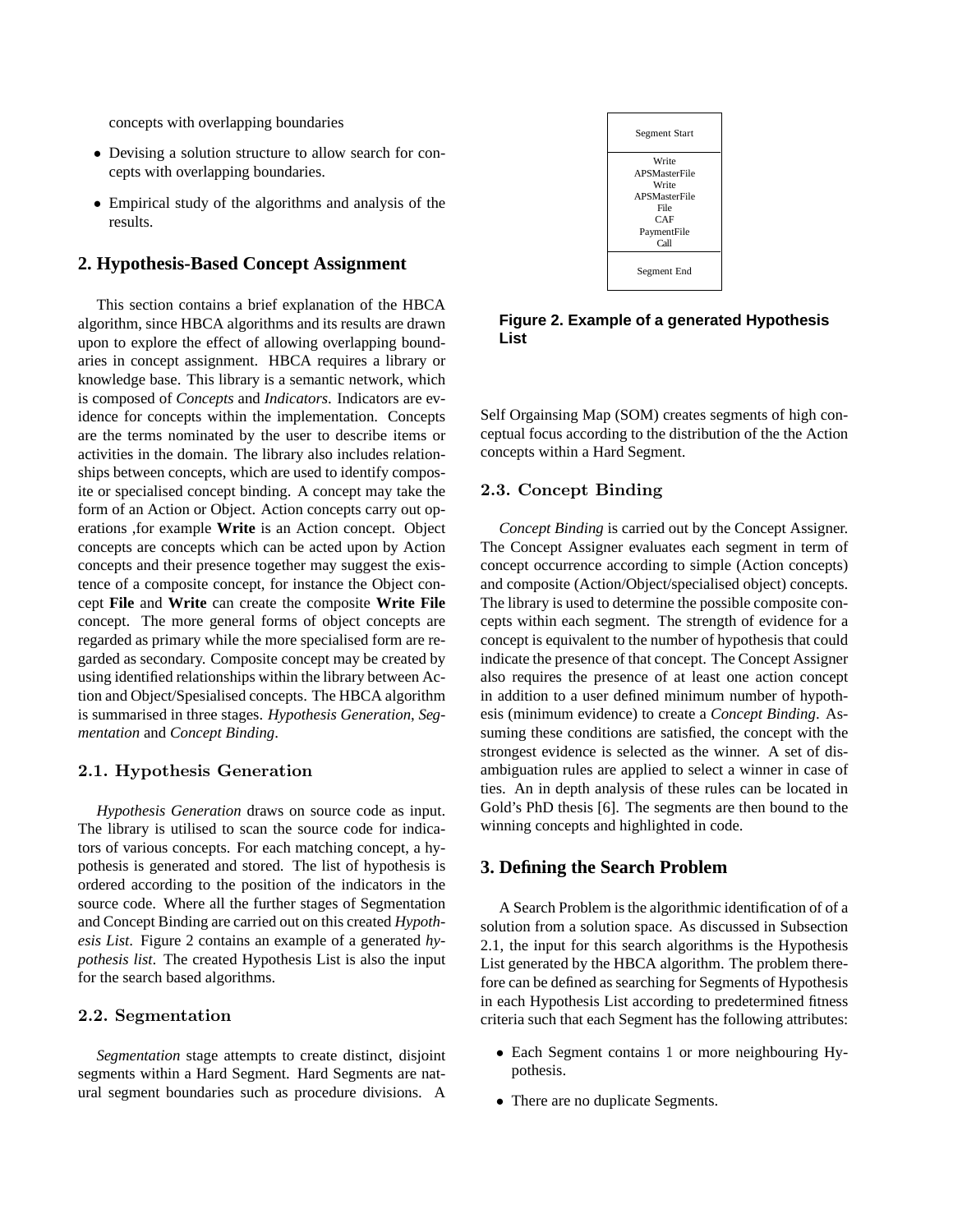concepts with overlapping boundaries

- Devising a solution structure to allow search for concepts with overlapping boundaries.
- Empirical study of the algorithms and analysis of the results.

### **2. Hypothesis-Based Concept Assignment**

This section contains a brief explanation of the HBCA algorithm, since HBCA algorithms and its results are drawn upon to explore the effect of allowing overlapping boundaries in concept assignment. HBCA requires a library or knowledge base. This library is a semantic network, which is composed of *Concepts* and *Indicators*. Indicators are evidence for concepts within the implementation. Concepts are the terms nominated by the user to describe items or activities in the domain. The library also includes relationships between concepts, which are used to identify composite or specialised concept binding. A concept may take the form of an Action or Object. Action concepts carry out operations ,for example **Write** is an Action concept. Object concepts are concepts which can be acted upon by Action concepts and their presence together may suggest the existence of a composite concept, for instance the Object concept **File** and **Write** can create the composite **Write File** concept. The more general forms of object concepts are regarded as primary while the more specialised form are regarded as secondary. Composite concept may be created by using identified relationships within the library between Action and Object/Spesialised concepts. The HBCA algorithm is summarised in three stages. *Hypothesis Generation*, *Segmentation* and *Concept Binding*.

#### 2.1. Hypothesis Generation

*Hypothesis Generation* draws on source code as input. The library is utilised to scan the source code for indicators of various concepts. For each matching concept, a hypothesis is generated and stored. The list of hypothesis is ordered according to the position of the indicators in the source code. Where all the further stages of Segmentation and Concept Binding are carried out on this created *Hypothesis List*. Figure 2 contains an example of a generated *hypothesis list*. The created Hypothesis List is also the input for the search based algorithms.

#### 2.2. Segmentation

*Segmentation* stage attempts to create distinct, disjoint segments within a Hard Segment. Hard Segments are natural segment boundaries such as procedure divisions. A



**Figure 2. Example of a generated Hypothesis List**

Self Orgainsing Map (SOM) creates segments of high conceptual focus according to the distribution of the the Action concepts within a Hard Segment.

#### 2.3. Concept Binding

*Concept Binding* is carried out by the Concept Assigner. The Concept Assigner evaluates each segment in term of concept occurrence according to simple (Action concepts) and composite (Action/Object/specialised object) concepts. The library is used to determine the possible composite concepts within each segment. The strength of evidence for a concept is equivalent to the number of hypothesis that could indicate the presence of that concept. The Concept Assigner also requires the presence of at least one action concept in addition to a user defined minimum number of hypothesis (minimum evidence) to create a *Concept Binding*. Assuming these conditions are satisfied, the concept with the strongest evidence is selected as the winner. A set of disambiguation rules are applied to select a winner in case of ties. An in depth analysis of these rules can be located in Gold's PhD thesis [6]. The segments are then bound to the winning concepts and highlighted in code.

### **3. Defining the Search Problem**

A Search Problem is the algorithmic identification of of a solution from a solution space. As discussed in Subsection 2.1, the input for this search algorithms is the Hypothesis List generated by the HBCA algorithm. The problem therefore can be defined as searching for Segments of Hypothesis in each Hypothesis List according to predetermined fitness criteria such that each Segment has the following attributes:

- Each Segment contains 1 or more neighbouring Hypothesis.
- There are no duplicate Segments.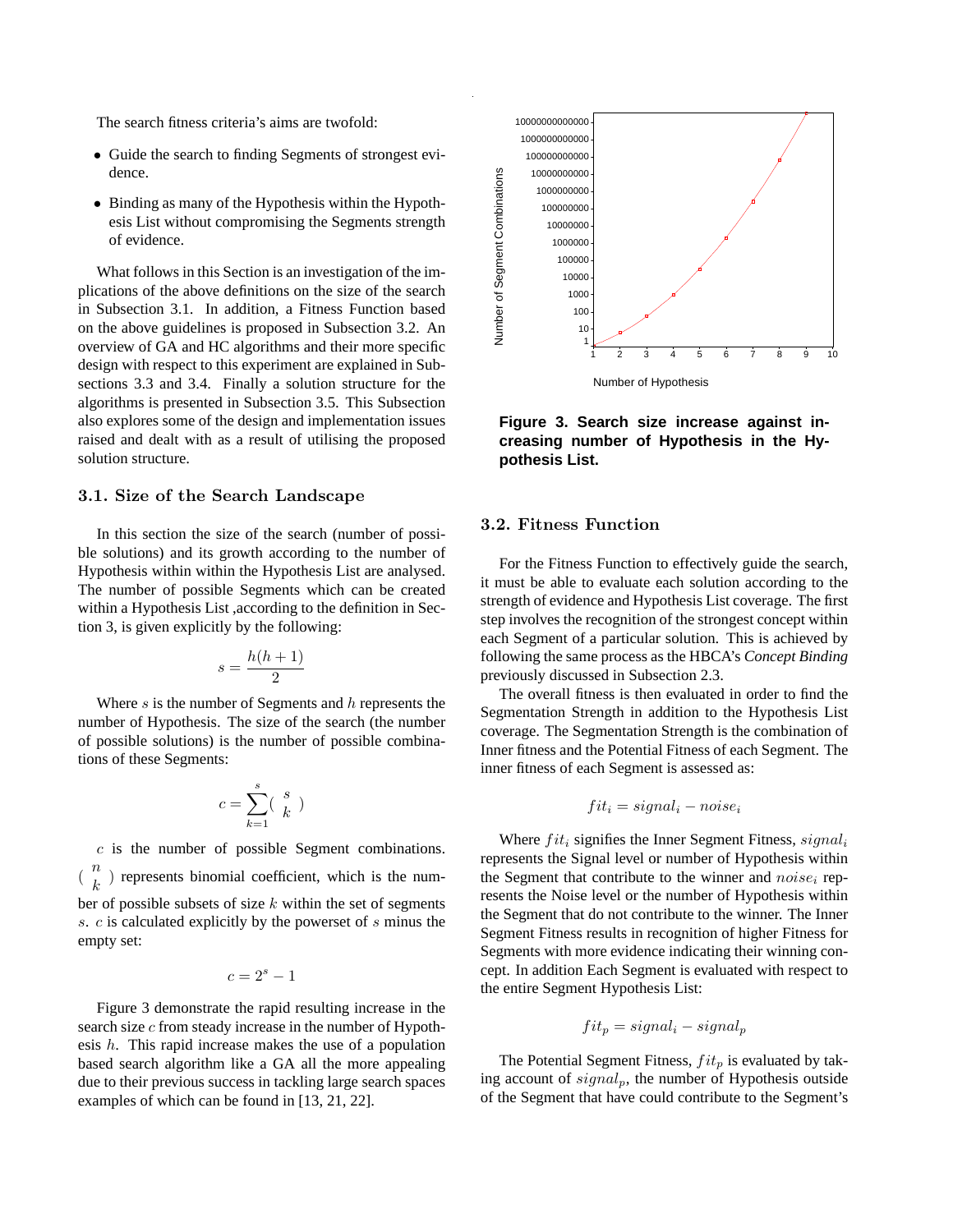The search fitness criteria's aims are twofold:

- Guide the search to finding Segments of strongest evidence.
- Binding as many of the Hypothesis within the Hypothesis List without compromising the Segments strength of evidence.

What follows in this Section is an investigation of the implications of the above definitions on the size of the search in Subsection 3.1. In addition, a Fitness Function based on the above guidelines is proposed in Subsection 3.2. An overview of GA and HC algorithms and their more specific design with respect to this experiment are explained in Subsections 3.3 and 3.4. Finally a solution structure for the algorithms is presented in Subsection 3.5. This Subsection also explores some of the design and implementation issues raised and dealt with as a result of utilising the proposed solution structure.

## 3.1. Size of the Search Landscape

In this section the size of the search (number of possible solutions) and its growth according to the number of Hypothesis within within the Hypothesis List are analysed. The number of possible Segments which can be created within a Hypothesis List ,according to the definition in Section 3, is given explicitly by the following:

$$
s = \frac{h(h+1)}{2}
$$

Where  $s$  is the number of Segments and  $h$  represents the number of Hypothesis. The size of the search (the number of possible solutions) is the number of possible combinations of these Segments:

$$
c = \sum_{k=1}^{s} \left(\begin{array}{c} s \\ k \end{array}\right)
$$

 $c$  is the number of possible Segment combinations.  $\binom{n}{k}$  $\binom{n}{k}$  represents binomial coefficient, which is the number of possible subsets of size  $k$  within the set of segments s. c is calculated explicitly by the powerset of s minus the empty set:

$$
c=2^s-1
$$

Figure 3 demonstrate the rapid resulting increase in the search size  $c$  from steady increase in the number of Hypothesis  $h$ . This rapid increase makes the use of a population based search algorithm like a GA all the more appealing due to their previous success in tackling large search spaces examples of which can be found in [13, 21, 22].



**Figure 3. Search size increase against increasing number of Hypothesis in the Hypothesis List.**

### 3.2. Fitness Function

For the Fitness Function to effectively guide the search, it must be able to evaluate each solution according to the strength of evidence and Hypothesis List coverage. The first step involves the recognition of the strongest concept within each Segment of a particular solution. This is achieved by following the same process as the HBCA's *Concept Binding* previously discussed in Subsection 2.3.

The overall fitness is then evaluated in order to find the Segmentation Strength in addition to the Hypothesis List coverage. The Segmentation Strength is the combination of Inner fitness and the Potential Fitness of each Segment. The inner fitness of each Segment is assessed as:

$$
fit_i = signal_i - noise_i
$$

Where  $fit_i$  signifies the Inner Segment Fitness,  $signal_i$ represents the Signal level or number of Hypothesis within the Segment that contribute to the winner and  $noise_i$  represents the Noise level or the number of Hypothesis within the Segment that do not contribute to the winner. The Inner Segment Fitness results in recognition of higher Fitness for Segments with more evidence indicating their winning concept. In addition Each Segment is evaluated with respect to the entire Segment Hypothesis List:

$$
fit_p = signal_i - signal_p
$$

The Potential Segment Fitness,  $fit_p$  is evaluated by taking account of  $signal_p$ , the number of Hypothesis outside of the Segment that have could contribute to the Segment's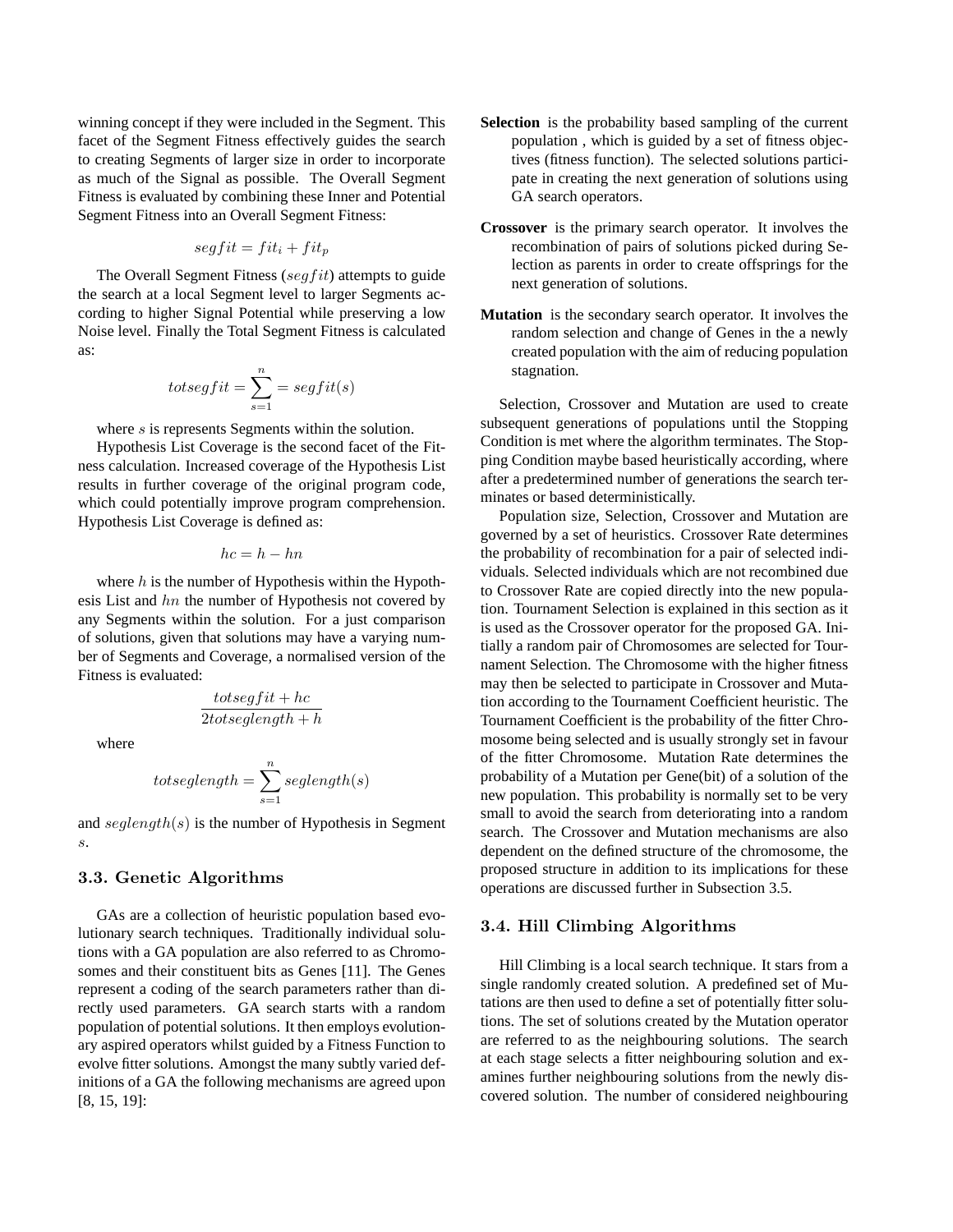winning concept if they were included in the Segment. This facet of the Segment Fitness effectively guides the search to creating Segments of larger size in order to incorporate as much of the Signal as possible. The Overall Segment Fitness is evaluated by combining these Inner and Potential Segment Fitness into an Overall Segment Fitness:

$$
segfit = fit_i + fit_p
$$

The Overall Segment Fitness (segfit) attempts to guide the search at a local Segment level to larger Segments according to higher Signal Potential while preserving a low Noise level. Finally the Total Segment Fitness is calculated as:

$$
to segfit = \sum_{s=1}^{n} = segfit(s)
$$

where s is represents Segments within the solution.

Hypothesis List Coverage is the second facet of the Fitness calculation. Increased coverage of the Hypothesis List results in further coverage of the original program code, which could potentially improve program comprehension. Hypothesis List Coverage is defined as:

$$
hc=h-hn
$$

where  $h$  is the number of Hypothesis within the Hypothesis List and  $hn$  the number of Hypothesis not covered by any Segments within the solution. For a just comparison of solutions, given that solutions may have a varying number of Segments and Coverage, a normalised version of the Fitness is evaluated:

$$
\frac{to tsegf it + hc}{2 to tseglength + h}
$$

where

$$
to see length = \sum_{s=1}^{n} seglength(s)
$$

and  ${\rm s}e$ *glength*( $s$ ) is the number of Hypothesis in Segment s.

#### 3.3. Genetic Algorithms

GAs are a collection of heuristic population based evolutionary search techniques. Traditionally individual solutions with a GA population are also referred to as Chromosomes and their constituent bits as Genes [11]. The Genes represent a coding of the search parameters rather than directly used parameters. GA search starts with a random population of potential solutions. It then employs evolutionary aspired operators whilst guided by a Fitness Function to evolve fitter solutions. Amongst the many subtly varied definitions of a GA the following mechanisms are agreed upon [8, 15, 19]:

- **Selection** is the probability based sampling of the current population , which is guided by a set of fitness objectives (fitness function). The selected solutions participate in creating the next generation of solutions using GA search operators.
- **Crossover** is the primary search operator. It involves the recombination of pairs of solutions picked during Selection as parents in order to create offsprings for the next generation of solutions.
- **Mutation** is the secondary search operator. It involves the random selection and change of Genes in the a newly created population with the aim of reducing population stagnation.

Selection, Crossover and Mutation are used to create subsequent generations of populations until the Stopping Condition is met where the algorithm terminates. The Stopping Condition maybe based heuristically according, where after a predetermined number of generations the search terminates or based deterministically.

Population size, Selection, Crossover and Mutation are governed by a set of heuristics. Crossover Rate determines the probability of recombination for a pair of selected individuals. Selected individuals which are not recombined due to Crossover Rate are copied directly into the new population. Tournament Selection is explained in this section as it is used as the Crossover operator for the proposed GA. Initially a random pair of Chromosomes are selected for Tournament Selection. The Chromosome with the higher fitness may then be selected to participate in Crossover and Mutation according to the Tournament Coefficient heuristic. The Tournament Coefficient is the probability of the fitter Chromosome being selected and is usually strongly set in favour of the fitter Chromosome. Mutation Rate determines the probability of a Mutation per Gene(bit) of a solution of the new population. This probability is normally set to be very small to avoid the search from deteriorating into a random search. The Crossover and Mutation mechanisms are also dependent on the defined structure of the chromosome, the proposed structure in addition to its implications for these operations are discussed further in Subsection 3.5.

#### 3.4. Hill Climbing Algorithms

Hill Climbing is a local search technique. It stars from a single randomly created solution. A predefined set of Mutations are then used to define a set of potentially fitter solutions. The set of solutions created by the Mutation operator are referred to as the neighbouring solutions. The search at each stage selects a fitter neighbouring solution and examines further neighbouring solutions from the newly discovered solution. The number of considered neighbouring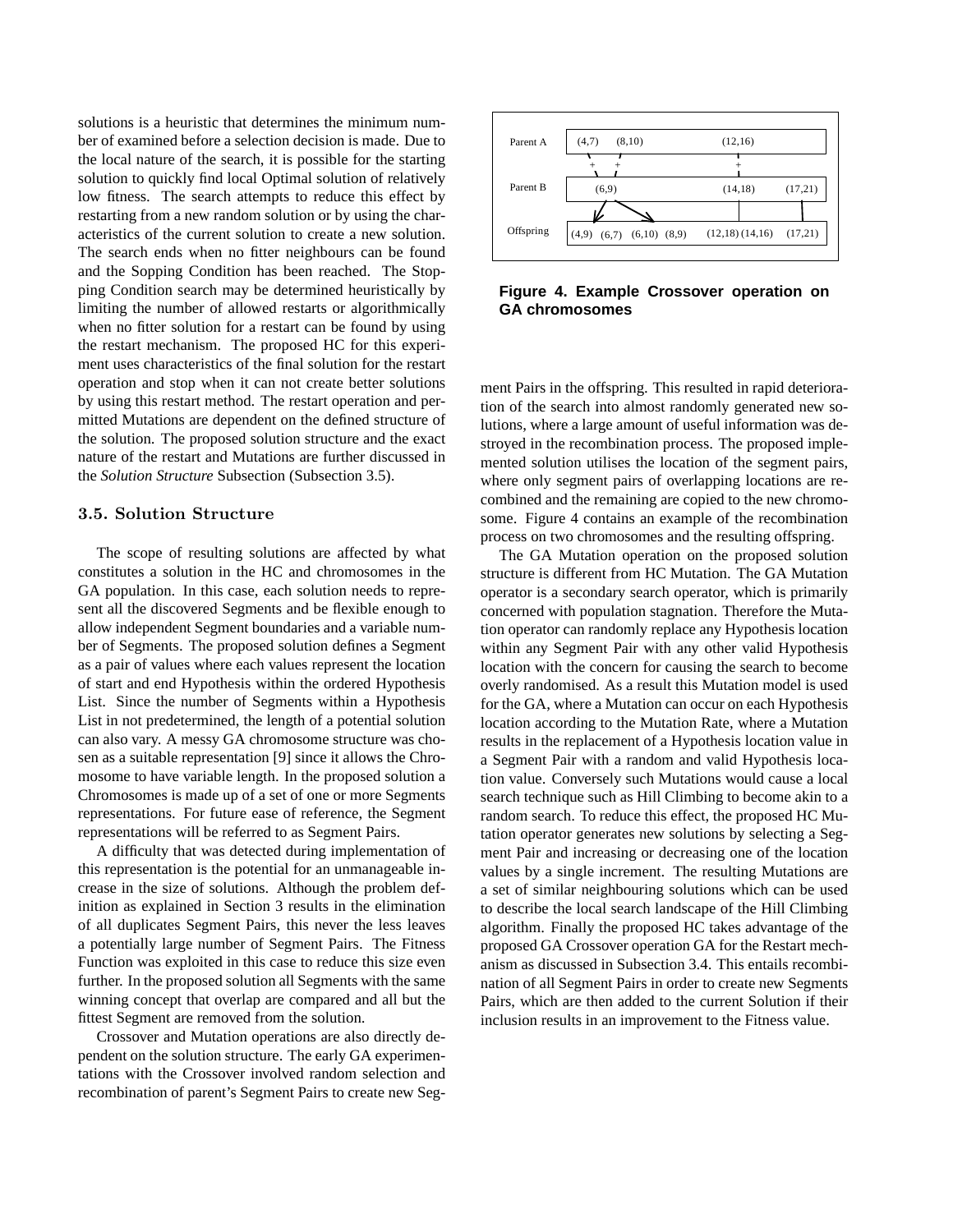solutions is a heuristic that determines the minimum number of examined before a selection decision is made. Due to the local nature of the search, it is possible for the starting solution to quickly find local Optimal solution of relatively low fitness. The search attempts to reduce this effect by restarting from a new random solution or by using the characteristics of the current solution to create a new solution. The search ends when no fitter neighbours can be found and the Sopping Condition has been reached. The Stopping Condition search may be determined heuristically by limiting the number of allowed restarts or algorithmically when no fitter solution for a restart can be found by using the restart mechanism. The proposed HC for this experiment uses characteristics of the final solution for the restart operation and stop when it can not create better solutions by using this restart method. The restart operation and permitted Mutations are dependent on the defined structure of the solution. The proposed solution structure and the exact nature of the restart and Mutations are further discussed in the *Solution Structure* Subsection (Subsection 3.5).

### 3.5. Solution Structure

The scope of resulting solutions are affected by what constitutes a solution in the HC and chromosomes in the GA population. In this case, each solution needs to represent all the discovered Segments and be flexible enough to allow independent Segment boundaries and a variable number of Segments. The proposed solution defines a Segment as a pair of values where each values represent the location of start and end Hypothesis within the ordered Hypothesis List. Since the number of Segments within a Hypothesis List in not predetermined, the length of a potential solution can also vary. A messy GA chromosome structure was chosen as a suitable representation [9] since it allows the Chromosome to have variable length. In the proposed solution a Chromosomes is made up of a set of one or more Segments representations. For future ease of reference, the Segment representations will be referred to as Segment Pairs.

A difficulty that was detected during implementation of this representation is the potential for an unmanageable increase in the size of solutions. Although the problem definition as explained in Section 3 results in the elimination of all duplicates Segment Pairs, this never the less leaves a potentially large number of Segment Pairs. The Fitness Function was exploited in this case to reduce this size even further. In the proposed solution all Segments with the same winning concept that overlap are compared and all but the fittest Segment are removed from the solution.

Crossover and Mutation operations are also directly dependent on the solution structure. The early GA experimentations with the Crossover involved random selection and recombination of parent's Segment Pairs to create new Seg-



**Figure 4. Example Crossover operation on GA chromosomes**

ment Pairs in the offspring. This resulted in rapid deterioration of the search into almost randomly generated new solutions, where a large amount of useful information was destroyed in the recombination process. The proposed implemented solution utilises the location of the segment pairs, where only segment pairs of overlapping locations are recombined and the remaining are copied to the new chromosome. Figure 4 contains an example of the recombination process on two chromosomes and the resulting offspring.

The GA Mutation operation on the proposed solution structure is different from HC Mutation. The GA Mutation operator is a secondary search operator, which is primarily concerned with population stagnation. Therefore the Mutation operator can randomly replace any Hypothesis location within any Segment Pair with any other valid Hypothesis location with the concern for causing the search to become overly randomised. As a result this Mutation model is used for the GA, where a Mutation can occur on each Hypothesis location according to the Mutation Rate, where a Mutation results in the replacement of a Hypothesis location value in a Segment Pair with a random and valid Hypothesis location value. Conversely such Mutations would cause a local search technique such as Hill Climbing to become akin to a random search. To reduce this effect, the proposed HC Mutation operator generates new solutions by selecting a Segment Pair and increasing or decreasing one of the location values by a single increment. The resulting Mutations are a set of similar neighbouring solutions which can be used to describe the local search landscape of the Hill Climbing algorithm. Finally the proposed HC takes advantage of the proposed GA Crossover operation GA for the Restart mechanism as discussed in Subsection 3.4. This entails recombination of all Segment Pairs in order to create new Segments Pairs, which are then added to the current Solution if their inclusion results in an improvement to the Fitness value.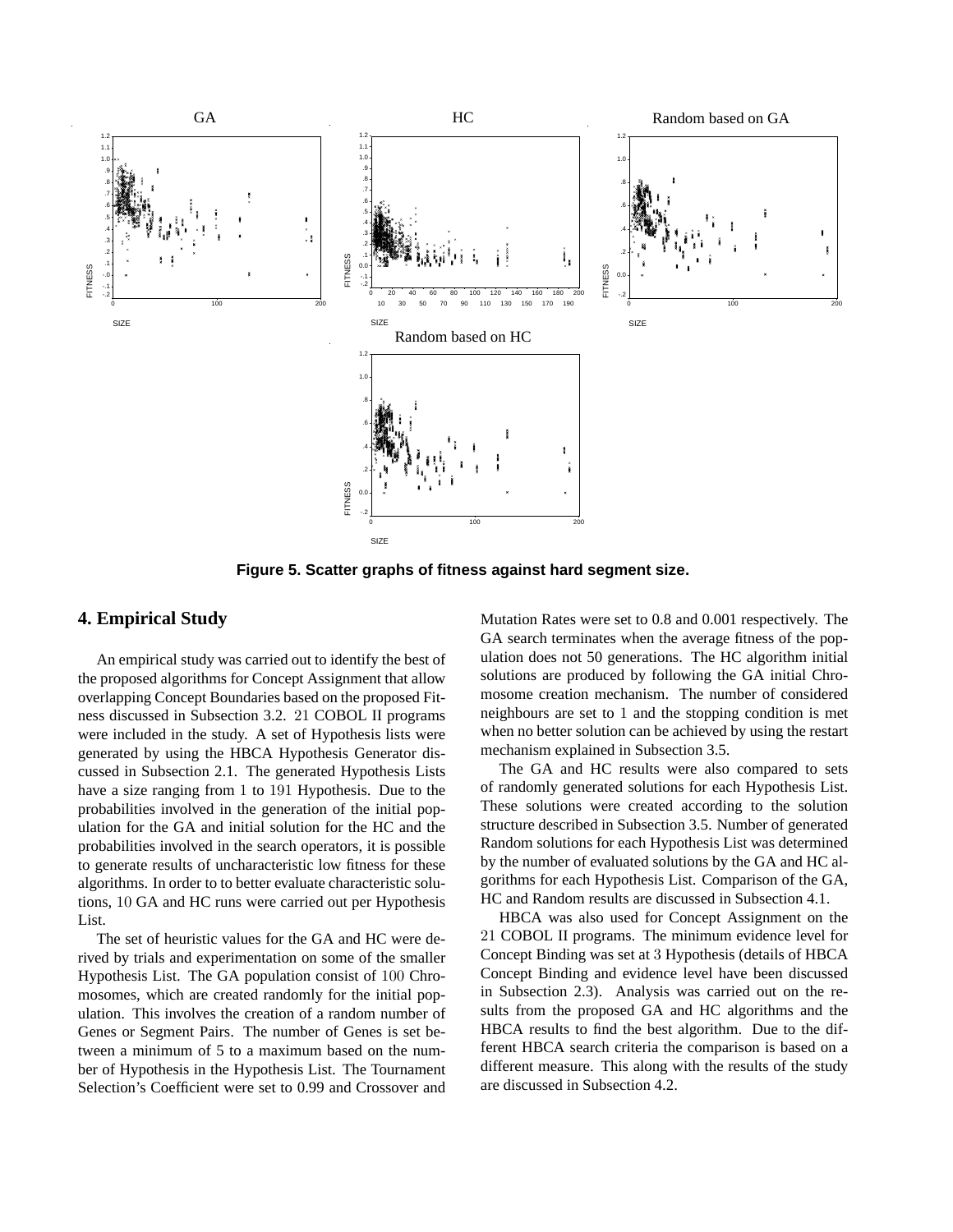

**Figure 5. Scatter graphs of fitness against hard segment size.**

## **4. Empirical Study**

An empirical study was carried out to identify the best of the proposed algorithms for Concept Assignment that allow overlapping Concept Boundaries based on the proposed Fitness discussed in Subsection 3.2. 21 COBOL II programs were included in the study. A set of Hypothesis lists were generated by using the HBCA Hypothesis Generator discussed in Subsection 2.1. The generated Hypothesis Lists have a size ranging from 1 to 191 Hypothesis. Due to the probabilities involved in the generation of the initial population for the GA and initial solution for the HC and the probabilities involved in the search operators, it is possible to generate results of uncharacteristic low fitness for these algorithms. In order to to better evaluate characteristic solutions, 10 GA and HC runs were carried out per Hypothesis List.

The set of heuristic values for the GA and HC were derived by trials and experimentation on some of the smaller Hypothesis List. The GA population consist of 100 Chromosomes, which are created randomly for the initial population. This involves the creation of a random number of Genes or Segment Pairs. The number of Genes is set between a minimum of 5 to a maximum based on the number of Hypothesis in the Hypothesis List. The Tournament Selection's Coefficient were set to 0.99 and Crossover and Mutation Rates were set to 0.8 and 0.001 respectively. The GA search terminates when the average fitness of the population does not 50 generations. The HC algorithm initial solutions are produced by following the GA initial Chromosome creation mechanism. The number of considered neighbours are set to 1 and the stopping condition is met when no better solution can be achieved by using the restart mechanism explained in Subsection 3.5.

The GA and HC results were also compared to sets of randomly generated solutions for each Hypothesis List. These solutions were created according to the solution structure described in Subsection 3.5. Number of generated Random solutions for each Hypothesis List was determined by the number of evaluated solutions by the GA and HC algorithms for each Hypothesis List. Comparison of the GA, HC and Random results are discussed in Subsection 4.1.

HBCA was also used for Concept Assignment on the 21 COBOL II programs. The minimum evidence level for Concept Binding was set at 3 Hypothesis (details of HBCA Concept Binding and evidence level have been discussed in Subsection 2.3). Analysis was carried out on the results from the proposed GA and HC algorithms and the HBCA results to find the best algorithm. Due to the different HBCA search criteria the comparison is based on a different measure. This along with the results of the study are discussed in Subsection 4.2.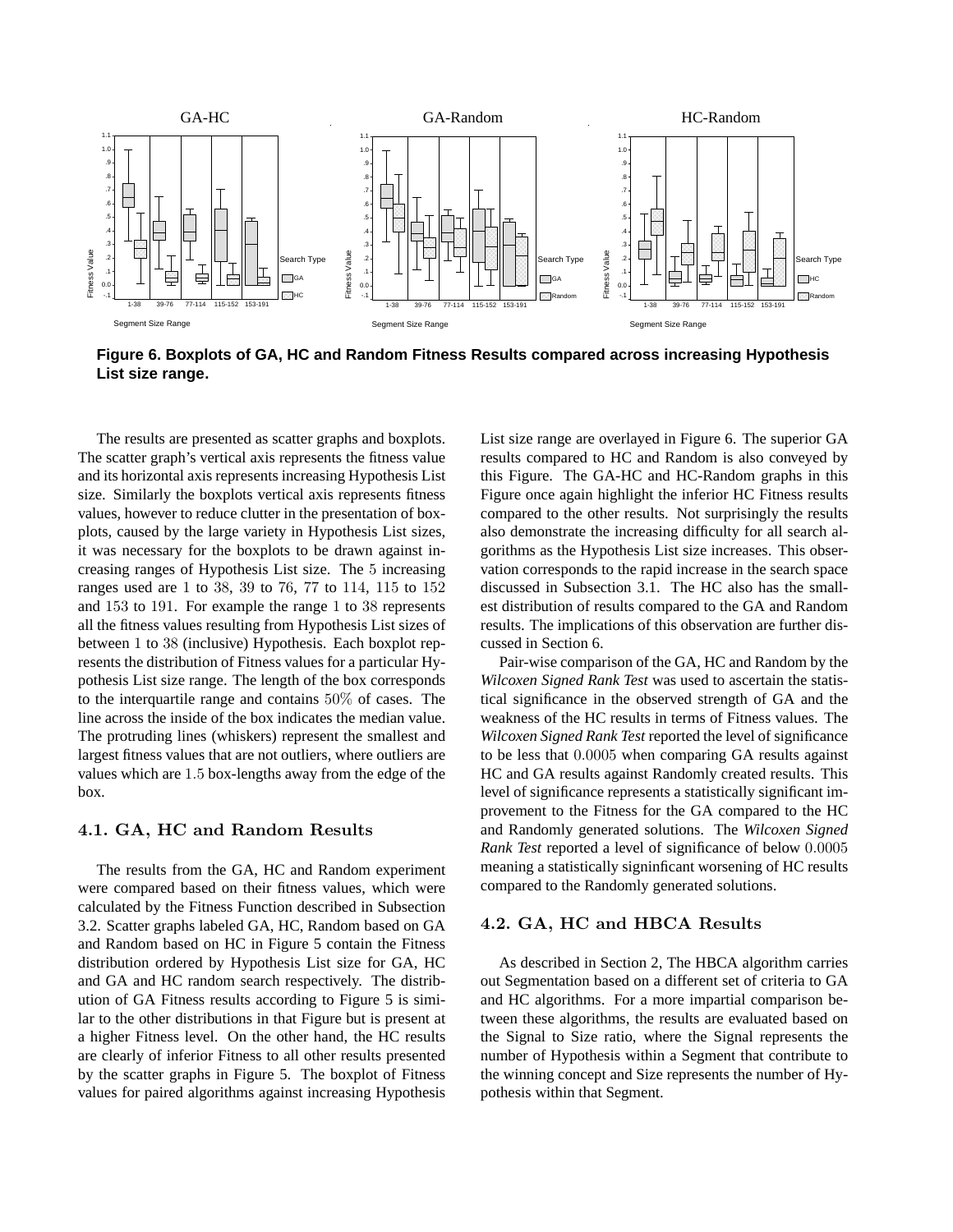

**Figure 6. Boxplots of GA, HC and Random Fitness Results compared across increasing Hypothesis List size range.**

The results are presented as scatter graphs and boxplots. The scatter graph's vertical axis represents the fitness value and its horizontal axis represents increasing Hypothesis List size. Similarly the boxplots vertical axis represents fitness values, however to reduce clutter in the presentation of boxplots, caused by the large variety in Hypothesis List sizes, it was necessary for the boxplots to be drawn against increasing ranges of Hypothesis List size. The 5 increasing ranges used are 1 to 38, 39 to 76, 77 to 114, 115 to 152 and 153 to 191. For example the range 1 to 38 represents all the fitness values resulting from Hypothesis List sizes of between 1 to 38 (inclusive) Hypothesis. Each boxplot represents the distribution of Fitness values for a particular Hypothesis List size range. The length of the box corresponds to the interquartile range and contains 50% of cases. The line across the inside of the box indicates the median value. The protruding lines (whiskers) represent the smallest and largest fitness values that are not outliers, where outliers are values which are 1.5 box-lengths away from the edge of the box.

### 4.1. GA, HC and Random Results

The results from the GA, HC and Random experiment were compared based on their fitness values, which were calculated by the Fitness Function described in Subsection 3.2. Scatter graphs labeled GA, HC, Random based on GA and Random based on HC in Figure 5 contain the Fitness distribution ordered by Hypothesis List size for GA, HC and GA and HC random search respectively. The distribution of GA Fitness results according to Figure 5 is similar to the other distributions in that Figure but is present at a higher Fitness level. On the other hand, the HC results are clearly of inferior Fitness to all other results presented by the scatter graphs in Figure 5. The boxplot of Fitness values for paired algorithms against increasing Hypothesis

List size range are overlayed in Figure 6. The superior GA results compared to HC and Random is also conveyed by this Figure. The GA-HC and HC-Random graphs in this Figure once again highlight the inferior HC Fitness results compared to the other results. Not surprisingly the results also demonstrate the increasing difficulty for all search algorithms as the Hypothesis List size increases. This observation corresponds to the rapid increase in the search space discussed in Subsection 3.1. The HC also has the smallest distribution of results compared to the GA and Random results. The implications of this observation are further discussed in Section 6.

Pair-wise comparison of the GA, HC and Random by the *Wilcoxen Signed Rank Test* was used to ascertain the statistical significance in the observed strength of GA and the weakness of the HC results in terms of Fitness values. The *Wilcoxen Signed Rank Test* reported the level of significance to be less that 0.0005 when comparing GA results against HC and GA results against Randomly created results. This level of significance represents a statistically significant improvement to the Fitness for the GA compared to the HC and Randomly generated solutions. The *Wilcoxen Signed Rank Test* reported a level of significance of below 0.0005 meaning a statistically signinficant worsening of HC results compared to the Randomly generated solutions.

### 4.2. GA, HC and HBCA Results

As described in Section 2, The HBCA algorithm carries out Segmentation based on a different set of criteria to GA and HC algorithms. For a more impartial comparison between these algorithms, the results are evaluated based on the Signal to Size ratio, where the Signal represents the number of Hypothesis within a Segment that contribute to the winning concept and Size represents the number of Hypothesis within that Segment.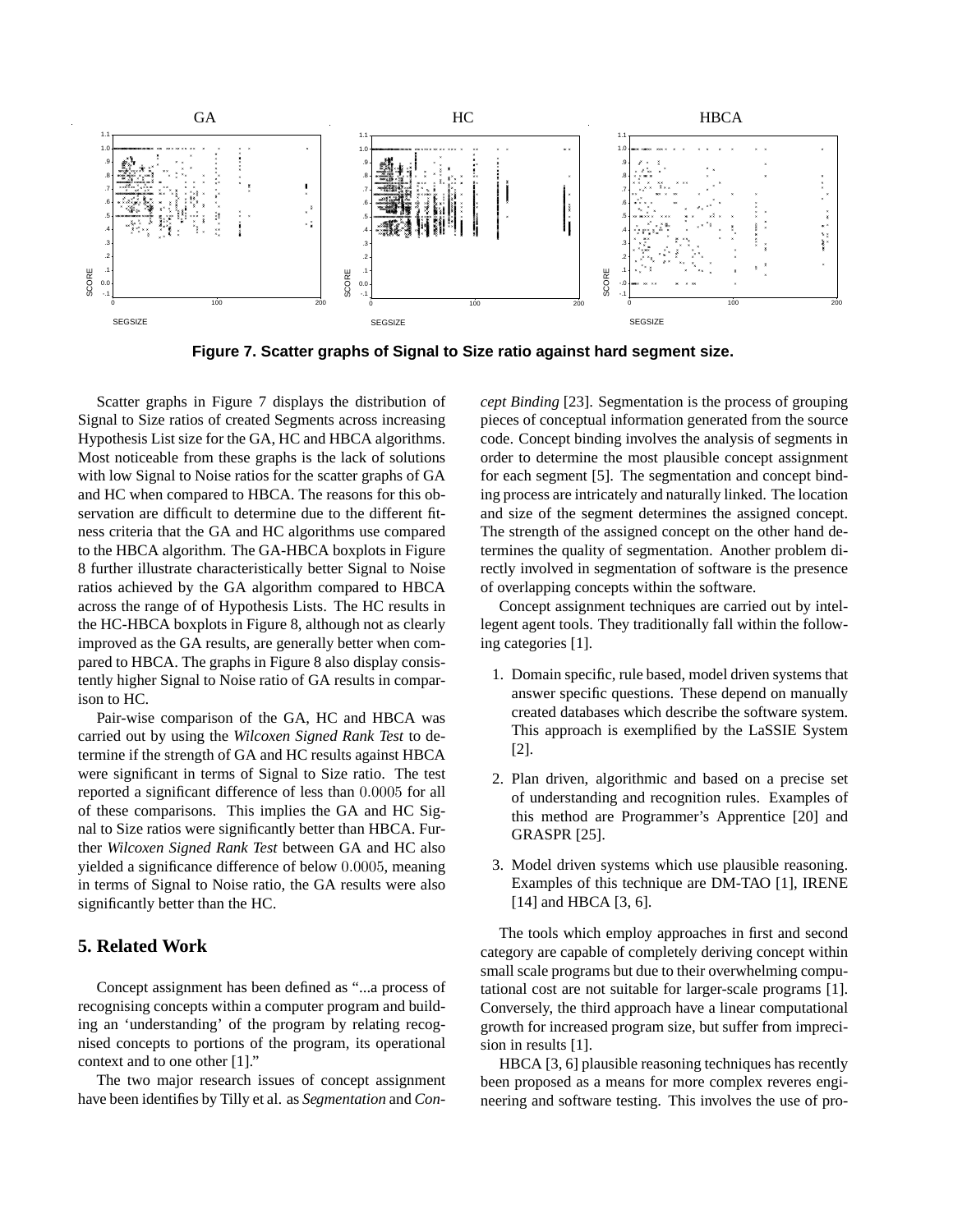

**Figure 7. Scatter graphs of Signal to Size ratio against hard segment size.**

Scatter graphs in Figure 7 displays the distribution of Signal to Size ratios of created Segments across increasing Hypothesis List size for the GA, HC and HBCA algorithms. Most noticeable from these graphs is the lack of solutions with low Signal to Noise ratios for the scatter graphs of GA and HC when compared to HBCA. The reasons for this observation are difficult to determine due to the different fitness criteria that the GA and HC algorithms use compared to the HBCA algorithm. The GA-HBCA boxplots in Figure 8 further illustrate characteristically better Signal to Noise ratios achieved by the GA algorithm compared to HBCA across the range of of Hypothesis Lists. The HC results in the HC-HBCA boxplots in Figure 8, although not as clearly improved as the GA results, are generally better when compared to HBCA. The graphs in Figure 8 also display consistently higher Signal to Noise ratio of GA results in comparison to HC.

Pair-wise comparison of the GA, HC and HBCA was carried out by using the *Wilcoxen Signed Rank Test* to determine if the strength of GA and HC results against HBCA were significant in terms of Signal to Size ratio. The test reported a significant difference of less than 0.0005 for all of these comparisons. This implies the GA and HC Signal to Size ratios were significantly better than HBCA. Further *Wilcoxen Signed Rank Test* between GA and HC also yielded a significance difference of below 0.0005, meaning in terms of Signal to Noise ratio, the GA results were also significantly better than the HC.

## **5. Related Work**

Concept assignment has been defined as "...a process of recognising concepts within a computer program and building an 'understanding' of the program by relating recognised concepts to portions of the program, its operational context and to one other [1]."

The two major research issues of concept assignment have been identifies by Tilly et al. as *Segmentation* and *Con-* *cept Binding* [23]. Segmentation is the process of grouping pieces of conceptual information generated from the source code. Concept binding involves the analysis of segments in order to determine the most plausible concept assignment for each segment [5]. The segmentation and concept binding process are intricately and naturally linked. The location and size of the segment determines the assigned concept. The strength of the assigned concept on the other hand determines the quality of segmentation. Another problem directly involved in segmentation of software is the presence of overlapping concepts within the software.

Concept assignment techniques are carried out by intellegent agent tools. They traditionally fall within the following categories [1].

- 1. Domain specific, rule based, model driven systems that answer specific questions. These depend on manually created databases which describe the software system. This approach is exemplified by the LaSSIE System [2].
- 2. Plan driven, algorithmic and based on a precise set of understanding and recognition rules. Examples of this method are Programmer's Apprentice [20] and GRASPR [25].
- 3. Model driven systems which use plausible reasoning. Examples of this technique are DM-TAO [1], IRENE [14] and HBCA [3, 6].

The tools which employ approaches in first and second category are capable of completely deriving concept within small scale programs but due to their overwhelming computational cost are not suitable for larger-scale programs [1]. Conversely, the third approach have a linear computational growth for increased program size, but suffer from imprecision in results [1].

HBCA [3, 6] plausible reasoning techniques has recently been proposed as a means for more complex reveres engineering and software testing. This involves the use of pro-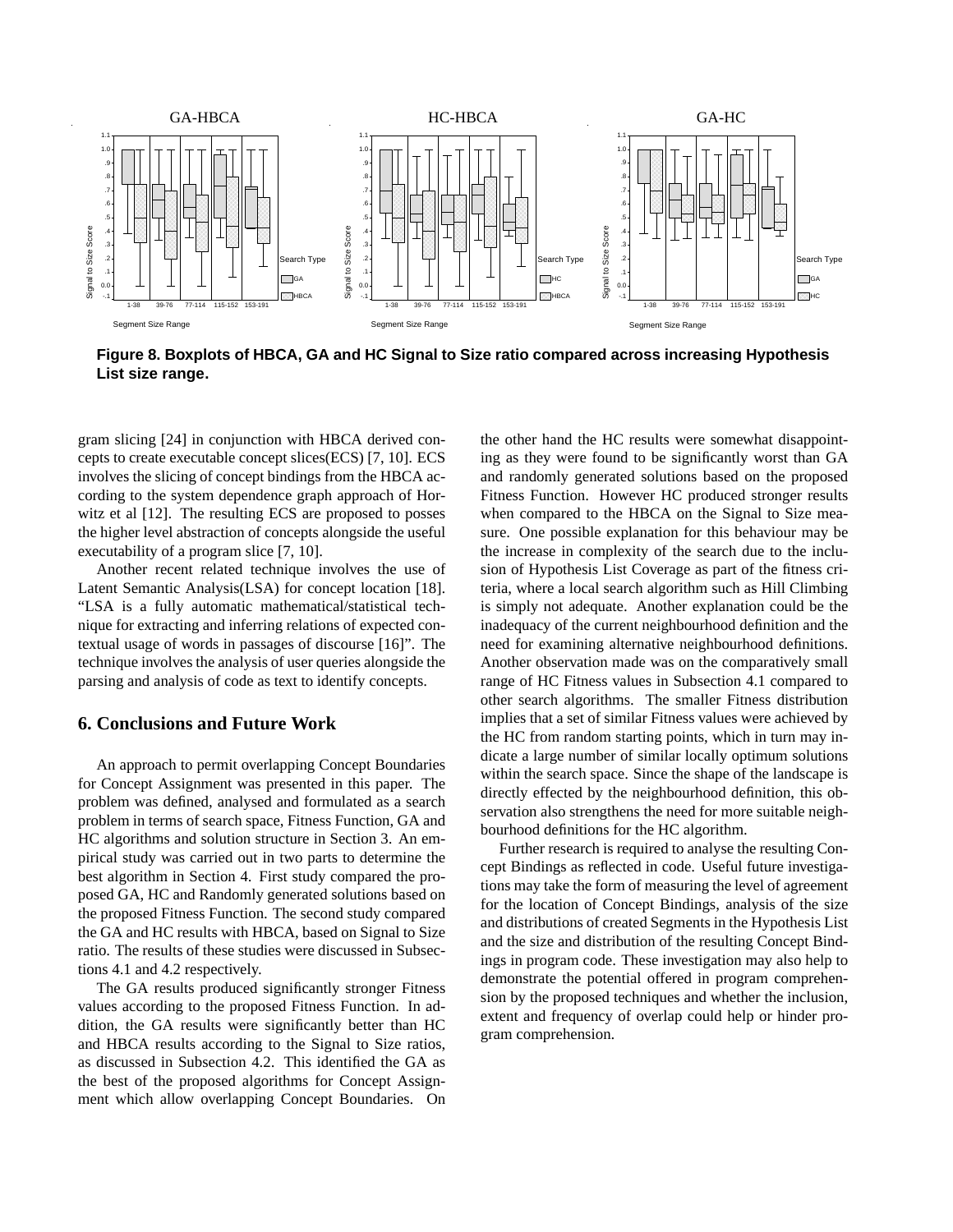

**Figure 8. Boxplots of HBCA, GA and HC Signal to Size ratio compared across increasing Hypothesis List size range.**

gram slicing [24] in conjunction with HBCA derived concepts to create executable concept slices(ECS) [7, 10]. ECS involves the slicing of concept bindings from the HBCA according to the system dependence graph approach of Horwitz et al [12]. The resulting ECS are proposed to posses the higher level abstraction of concepts alongside the useful executability of a program slice [7, 10].

Another recent related technique involves the use of Latent Semantic Analysis(LSA) for concept location [18]. "LSA is a fully automatic mathematical/statistical technique for extracting and inferring relations of expected contextual usage of words in passages of discourse [16]". The technique involves the analysis of user queries alongside the parsing and analysis of code as text to identify concepts.

#### **6. Conclusions and Future Work**

An approach to permit overlapping Concept Boundaries for Concept Assignment was presented in this paper. The problem was defined, analysed and formulated as a search problem in terms of search space, Fitness Function, GA and HC algorithms and solution structure in Section 3. An empirical study was carried out in two parts to determine the best algorithm in Section 4. First study compared the proposed GA, HC and Randomly generated solutions based on the proposed Fitness Function. The second study compared the GA and HC results with HBCA, based on Signal to Size ratio. The results of these studies were discussed in Subsections 4.1 and 4.2 respectively.

The GA results produced significantly stronger Fitness values according to the proposed Fitness Function. In addition, the GA results were significantly better than HC and HBCA results according to the Signal to Size ratios, as discussed in Subsection 4.2. This identified the GA as the best of the proposed algorithms for Concept Assignment which allow overlapping Concept Boundaries. On the other hand the HC results were somewhat disappointing as they were found to be significantly worst than GA and randomly generated solutions based on the proposed Fitness Function. However HC produced stronger results when compared to the HBCA on the Signal to Size measure. One possible explanation for this behaviour may be the increase in complexity of the search due to the inclusion of Hypothesis List Coverage as part of the fitness criteria, where a local search algorithm such as Hill Climbing is simply not adequate. Another explanation could be the inadequacy of the current neighbourhood definition and the need for examining alternative neighbourhood definitions. Another observation made was on the comparatively small range of HC Fitness values in Subsection 4.1 compared to other search algorithms. The smaller Fitness distribution implies that a set of similar Fitness values were achieved by the HC from random starting points, which in turn may indicate a large number of similar locally optimum solutions within the search space. Since the shape of the landscape is directly effected by the neighbourhood definition, this observation also strengthens the need for more suitable neighbourhood definitions for the HC algorithm.

Further research is required to analyse the resulting Concept Bindings as reflected in code. Useful future investigations may take the form of measuring the level of agreement for the location of Concept Bindings, analysis of the size and distributions of created Segments in the Hypothesis List and the size and distribution of the resulting Concept Bindings in program code. These investigation may also help to demonstrate the potential offered in program comprehension by the proposed techniques and whether the inclusion, extent and frequency of overlap could help or hinder program comprehension.